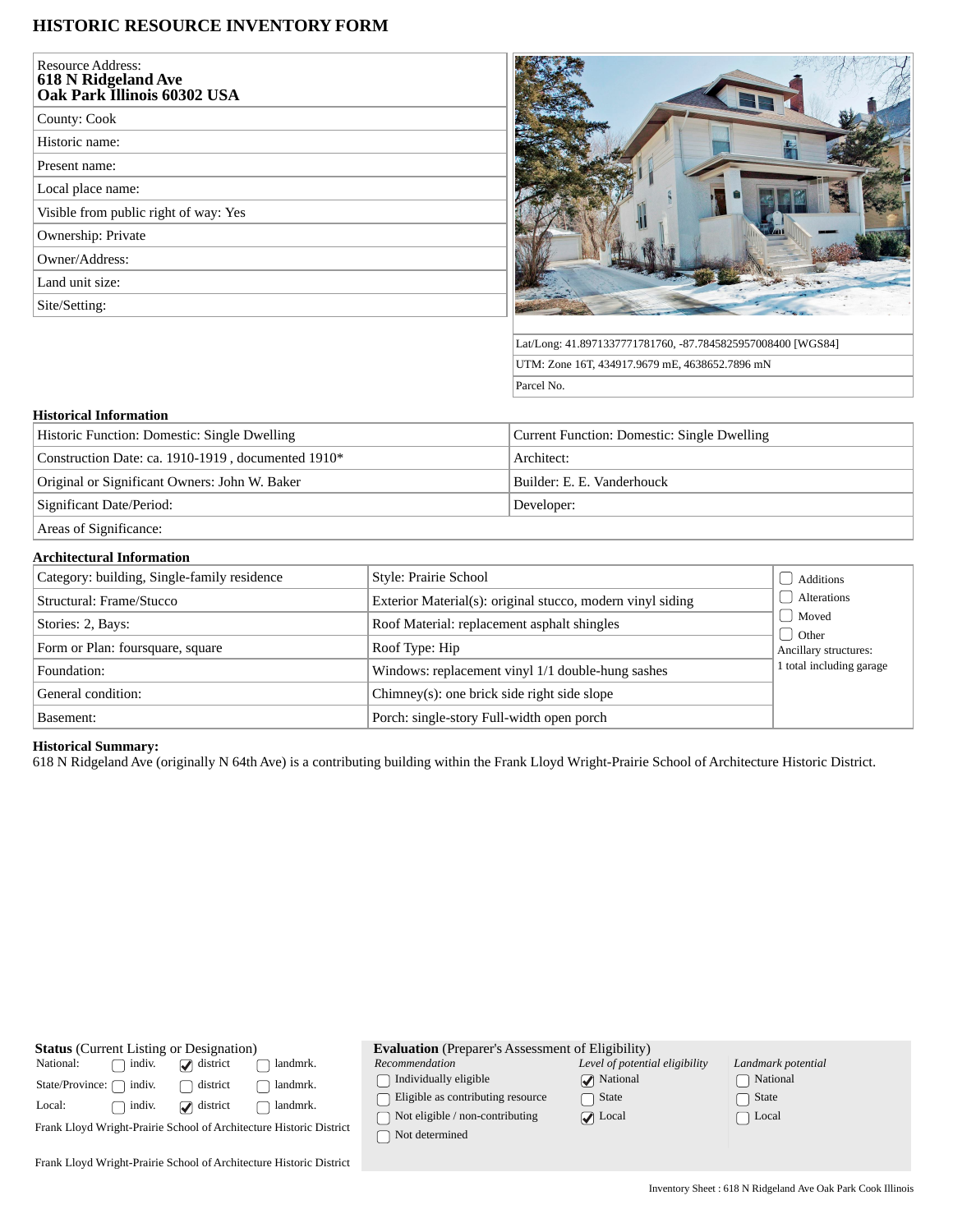# **HISTORIC RESOURCE INVENTORY FORM**

| <b>Resource Address:</b><br><b>618 N Ridgeland Ave</b><br>Oak Park Illinois 60302 USA |
|---------------------------------------------------------------------------------------|
| County: Cook                                                                          |
| Historic name:                                                                        |
| Present name:                                                                         |
| Local place name:                                                                     |
| Visible from public right of way: Yes                                                 |
| Ownership: Private                                                                    |
| Owner/Address:                                                                        |
| Land unit size:                                                                       |
| Site/Setting:                                                                         |
|                                                                                       |



Lat/Long: 41.8971337771781760, -87.7845825957008400 [WGS84] UTM: Zone 16T, 434917.9679 mE, 4638652.7896 mN Parcel No.

### **Historical Information**

| Historic Function: Domestic: Single Dwelling       | Current Function: Domestic: Single Dwelling |
|----------------------------------------------------|---------------------------------------------|
| Construction Date: ca. 1910-1919, documented 1910* | Architect:                                  |
| Original or Significant Owners: John W. Baker      | Builder: E. E. Vanderhouck                  |
| Significant Date/Period:                           | Developer:                                  |
| Areas of Significance:                             |                                             |

**Architectural Information**

| Category: building, Single-family residence | Style: Prairie School                                      | Additions                        |
|---------------------------------------------|------------------------------------------------------------|----------------------------------|
| Structural: Frame/Stucco                    | Exterior Material(s): original stucco, modern vinyl siding | Alterations                      |
| Stories: 2, Bays:                           | Roof Material: replacement asphalt shingles                | Moved                            |
| Form or Plan: foursquare, square            | Roof Type: Hip                                             | d Other<br>Ancillary structures: |
| Foundation:                                 | Windows: replacement vinyl 1/1 double-hung sashes          | 1 total including garage         |
| General condition:                          | Chimney(s): one brick side right side slope                |                                  |
| Basement:                                   | Porch: single-story Full-width open porch                  |                                  |

#### **Historical Summary:**

618 N Ridgeland Ave (originally N 64th Ave) is a contributing building within the Frank Lloyd Wright-Prairie School of Architecture Historic District.

| <b>Status</b> (Current Listing or Designation)                      |                   | <b>Evaluation</b> (Preparer's Assessment of Eligibility) |                                                   |                                |                    |
|---------------------------------------------------------------------|-------------------|----------------------------------------------------------|---------------------------------------------------|--------------------------------|--------------------|
| National:<br>indiv.                                                 | $\omega$ district | landmrk.                                                 | Recommendation                                    | Level of potential eligibility | Landmark potential |
| indiv.<br>State/Province:                                           | district          | landmrk.                                                 | Individually eligible                             | <b>National</b>                | National           |
| Local:<br>indiv.                                                    | $\omega$ district | landmrk.                                                 | Eligible as contributing resource                 | State                          | State              |
| Frank Lloyd Wright-Prairie School of Architecture Historic District |                   |                                                          | Not eligible / non-contributing<br>Not determined | $\triangledown$ Local          | Local              |
| Frank Lloyd Wright-Prairie School of Architecture Historic District |                   |                                                          |                                                   |                                |                    |